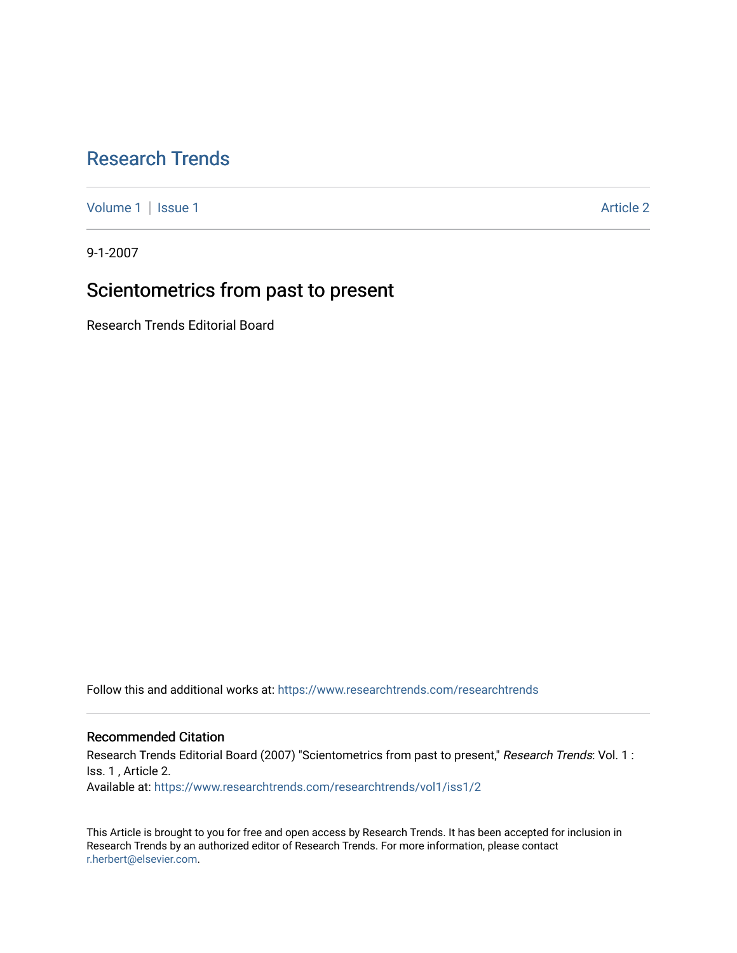## [Research Trends](https://www.researchtrends.com/researchtrends)

[Volume 1](https://www.researchtrends.com/researchtrends/vol1) | [Issue 1](https://www.researchtrends.com/researchtrends/vol1/iss1) Article 2

9-1-2007

# Scientometrics from past to present

Research Trends Editorial Board

Follow this and additional works at: [https://www.researchtrends.com/researchtrends](https://www.researchtrends.com/researchtrends?utm_source=www.researchtrends.com%2Fresearchtrends%2Fvol1%2Fiss1%2F2&utm_medium=PDF&utm_campaign=PDFCoverPages) 

### Recommended Citation

Research Trends Editorial Board (2007) "Scientometrics from past to present," Research Trends: Vol. 1 : Iss. 1 , Article 2. Available at: [https://www.researchtrends.com/researchtrends/vol1/iss1/2](https://www.researchtrends.com/researchtrends/vol1/iss1/2?utm_source=www.researchtrends.com%2Fresearchtrends%2Fvol1%2Fiss1%2F2&utm_medium=PDF&utm_campaign=PDFCoverPages) 

This Article is brought to you for free and open access by Research Trends. It has been accepted for inclusion in Research Trends by an authorized editor of Research Trends. For more information, please contact [r.herbert@elsevier.com.](mailto:r.herbert@elsevier.com)